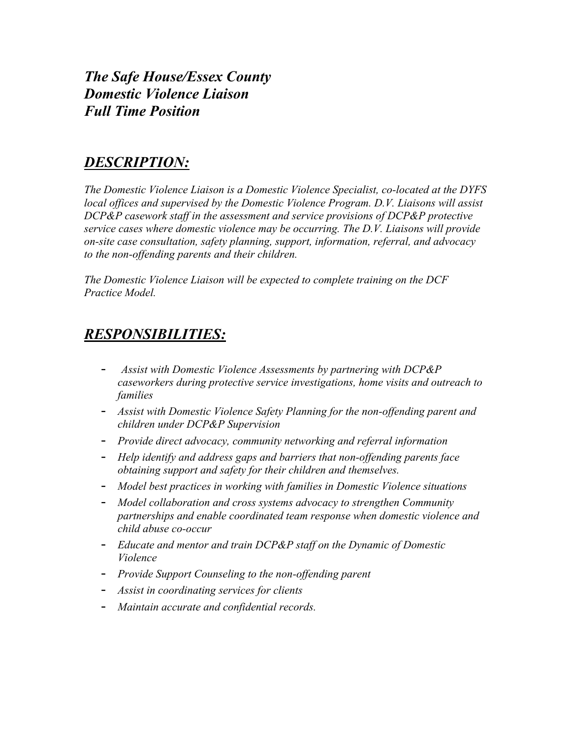*The Safe House/Essex County Domestic Violence Liaison Full Time Position*

## *DESCRIPTION:*

*The Domestic Violence Liaison is a Domestic Violence Specialist, co-located at the DYFS local offices and supervised by the Domestic Violence Program. D.V. Liaisons will assist DCP&P casework staff in the assessment and service provisions of DCP&P protective service cases where domestic violence may be occurring. The D.V. Liaisons will provide on-site case consultation, safety planning, support, information, referral, and advocacy to the non-offending parents and their children.*

*The Domestic Violence Liaison will be expected to complete training on the DCF Practice Model.*

## *RESPONSIBILITIES:*

- *Assist with Domestic Violence Assessments by partnering with DCP&P caseworkers during protective service investigations, home visits and outreach to families*
- *Assist with Domestic Violence Safety Planning for the non-offending parent and children under DCP&P Supervision*
- *Provide direct advocacy, community networking and referral information*
- *Help identify and address gaps and barriers that non-offending parents face obtaining support and safety for their children and themselves.*
- *Model best practices in working with families in Domestic Violence situations*
- *Model collaboration and cross systems advocacy to strengthen Community partnerships and enable coordinated team response when domestic violence and child abuse co-occur*
- *Educate and mentor and train DCP&P staff on the Dynamic of Domestic Violence*
- *Provide Support Counseling to the non-offending parent*
- *Assist in coordinating services for clients*
- *Maintain accurate and confidential records.*